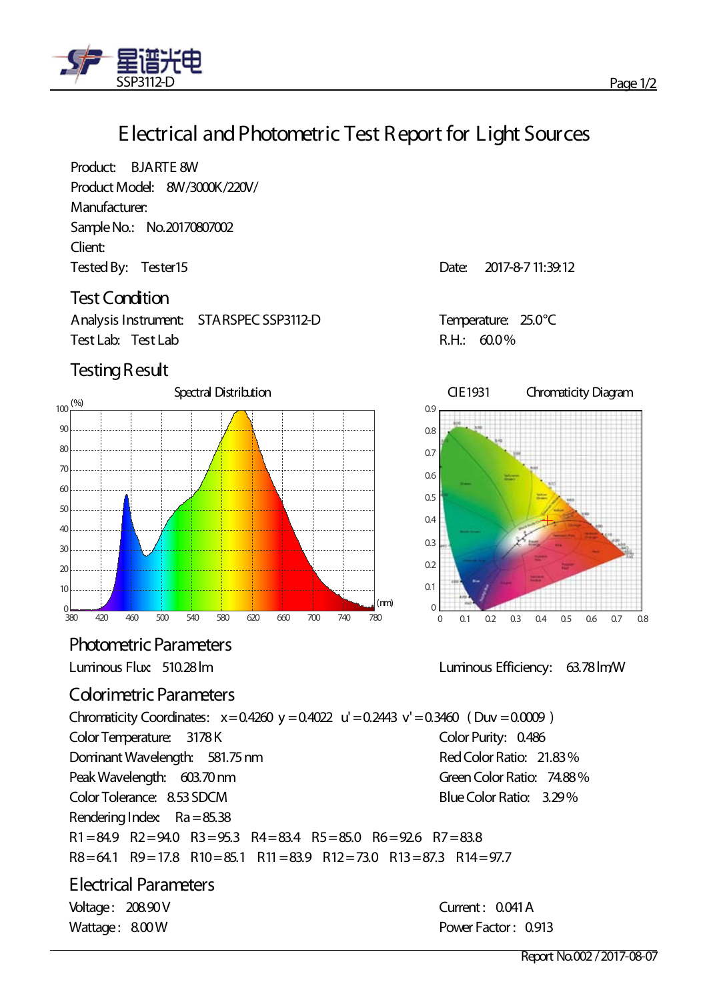

## **Electrical andPhotometric Test Report for Light Sources**

Product: BJARTE 8W Product Model: 8W/3000K/220V/ Manufacturer: SampleNo.: No.20170807002 Client: Tested By: Tester 15 and the US and the US are the US and Date: 2017-8-7 11:39:12

#### **Test Condition**

Analysis Instrument: STARSPEC SSP3112-D<br>
Temperature: 25.0°C Test Lab: Test Lab R.H.: 60.0%

## **Testing Result**



**Photometric Parameters** 

### **Colorimetric Parameters**

Chromaticity Coordinates:  $x=0.4260$  y = 0.4022 u' = 0.2443 v' = 0.3460 (Duv = 0.0009) Color Temperature: 3178K Color Purity: 0.486 DominantWavelength: 581.75nm PeakWavelength: 603.70nm RedColor Ratio: 21.83% Green Color Ratio: 74.88% Color Tolerance: 8.53SDCM BlueColor Ratio: 3.29% Rendering Index:  $Ra = 85.38$  $R1 = 84.9$   $R2 = 94.0$   $R3 = 95.3$   $R4 = 83.4$   $R5 = 85.0$   $R6 = 92.6$   $R7 = 83.8$ R8=64.1 R9=17.8 R10=85.1 R11=83.9 R12=73.0 R13=87.3 R14=97.7

**Electrical Parameters** Voltage: 208.90V Current: 0.041A



Luminous Flux: 510.28lm Luminous Efficiency: 63.78lm/W

Wattage: 8.00 W **Wattage: 8.00 W**